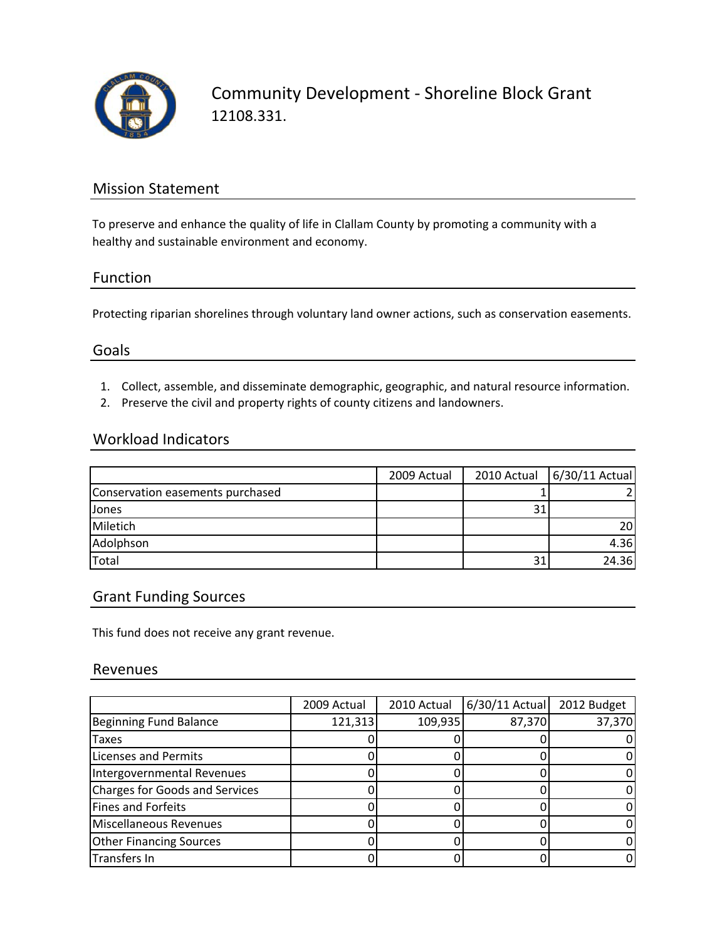

Community Development ‐ Shoreline Block Grant 12108.331.

### Mission Statement

To preserve and enhance the quality of life in Clallam County by promoting a community with a healthy and sustainable environment and economy.

#### Function

Protecting riparian shorelines through voluntary land owner actions, such as conservation easements.

#### Goals

- 1. Collect, assemble, and disseminate demographic, geographic, and natural resource information.
- 2. Preserve the civil and property rights of county citizens and landowners.

#### Workload Indicators

|                                  | 2009 Actual | 2010 Actual | 6/30/11 Actual |
|----------------------------------|-------------|-------------|----------------|
| Conservation easements purchased |             |             |                |
| Jones                            |             |             |                |
| Miletich                         |             |             | <b>20</b>      |
| Adolphson                        |             |             | 4.36           |
| Total                            |             | 31          | 24.36          |

#### Grant Funding Sources

This fund does not receive any grant revenue.

#### Revenues

|                                | 2009 Actual | 2010 Actual | 6/30/11 Actual 2012 Budget |        |
|--------------------------------|-------------|-------------|----------------------------|--------|
| Beginning Fund Balance         | 121,313     | 109,935     | 87,370                     | 37,370 |
| Taxes                          |             |             |                            | 0      |
| <b>Licenses and Permits</b>    |             |             |                            |        |
| Intergovernmental Revenues     |             |             |                            | 0      |
| Charges for Goods and Services |             |             |                            | 0      |
| Fines and Forfeits             |             |             |                            | 0      |
| Miscellaneous Revenues         |             |             |                            | 0      |
| <b>Other Financing Sources</b> |             |             |                            | 0      |
| Transfers In                   |             |             |                            | 0      |